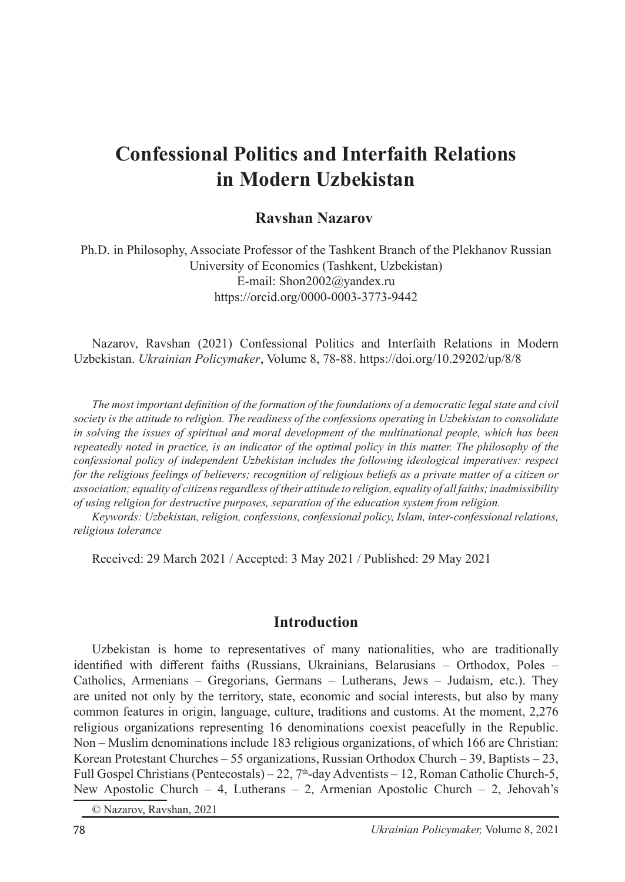# **Confessional Politics and Interfaith Relations in Modern Uzbekistan**

#### **Ravshan Nazarov**<sup>1</sup>

Ph.D. in Philosophy, Associate Professor of the Tashkent Branch of the Plekhanov Russian University of Economics (Tashkent, Uzbekistan) E-mail: Shon2002@yandex.ru https://orcid.org/0000-0003-3773-9442

Nazarov, Ravshan (2021) Confessional Politics and Interfaith Relations in Modern Uzbekistan. *Ukrainian Policymaker*, Volume 8, 78-88. https://doi.org/10.29202/up/8/8

*The most important definition of the formation of the foundations of a democratic legal state and civil society is the attitude to religion. The readiness of the confessions operating in Uzbekistan to consolidate in solving the issues of spiritual and moral development of the multinational people, which has been repeatedly noted in practice, is an indicator of the optimal policy in this matter. The philosophy of the confessional policy of independent Uzbekistan includes the following ideological imperatives: respect for the religious feelings of believers; recognition of religious beliefs as a private matter of a citizen or association; equality of citizens regardless of their attitude to religion, equality of all faiths; inadmissibility of using religion for destructive purposes, separation of the education system from religion.*

*Keywords: Uzbekistan, religion, confessions, confessional policy, Islam, inter-confessional relations, religious tolerance*

Received: 29 March 2021 / Accepted: 3 May 2021 / Published: 29 May 2021

#### **Introduction**

Uzbekistan is home to representatives of many nationalities, who are traditionally identified with different faiths (Russians, Ukrainians, Belarusians – Orthodox, Poles – Catholics, Armenians – Gregorians, Germans – Lutherans, Jews – Judaism, etc.). They are united not only by the territory, state, economic and social interests, but also by many common features in origin, language, culture, traditions and customs. At the moment, 2,276 religious organizations representing 16 denominations coexist peacefully in the Republic. Non – Muslim denominations include 183 religious organizations, of which 166 are Christian: Korean Protestant Churches – 55 organizations, Russian Orthodox Church – 39, Baptists – 23, Full Gospel Christians (Pentecostals) – 22,  $7<sup>th</sup>$ -day Adventists – 12, Roman Catholic Church-5, New Apostolic Church – 4, Lutherans – 2, Armenian Apostolic Church – 2, Jehovah's

© Nazarov, Ravshan, 2021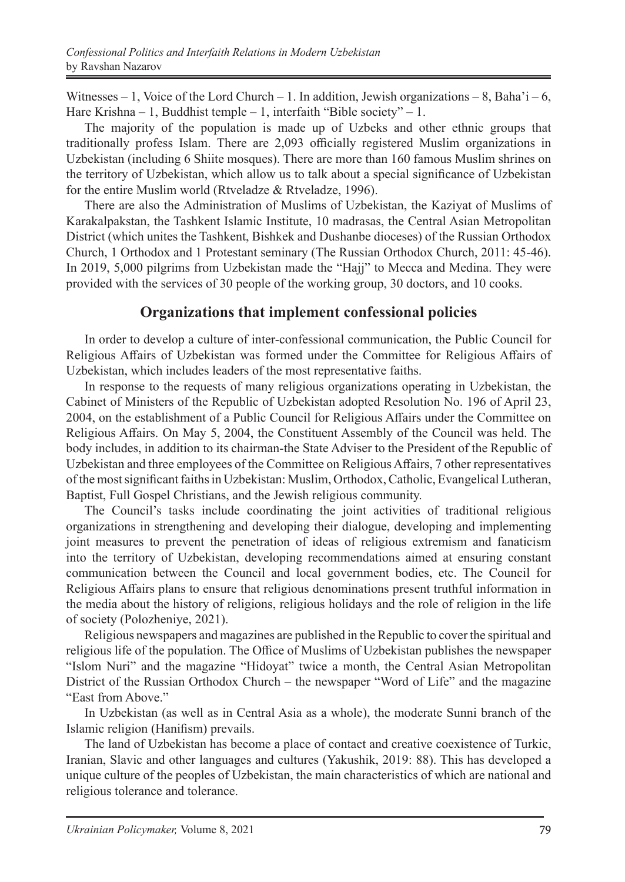Witnesses  $-1$ , Voice of the Lord Church  $-1$ . In addition, Jewish organizations  $-8$ , Baha' $i - 6$ , Hare Krishna – 1, Buddhist temple – 1, interfaith "Bible society" – 1.

The majority of the population is made up of Uzbeks and other ethnic groups that traditionally profess Islam. There are 2,093 officially registered Muslim organizations in Uzbekistan (including 6 Shiite mosques). There are more than 160 famous Muslim shrines on the territory of Uzbekistan, which allow us to talk about a special significance of Uzbekistan for the entire Muslim world (Rtveladze & Rtveladze, 1996).

There are also the Administration of Muslims of Uzbekistan, the Kaziyat of Muslims of Karakalpakstan, the Tashkent Islamic Institute, 10 madrasas, the Central Asian Metropolitan District (which unites the Tashkent, Bishkek and Dushanbe dioceses) of the Russian Orthodox Church, 1 Orthodox and 1 Protestant seminary (The Russian Orthodox Church, 2011: 45-46). In 2019, 5,000 pilgrims from Uzbekistan made the "Hajj" to Mecca and Medina. They were provided with the services of 30 people of the working group, 30 doctors, and 10 cooks.

### **Organizations that implement confessional policies**

In order to develop a culture of inter-confessional communication, the Public Council for Religious Affairs of Uzbekistan was formed under the Committee for Religious Affairs of Uzbekistan, which includes leaders of the most representative faiths.

In response to the requests of many religious organizations operating in Uzbekistan, the Cabinet of Ministers of the Republic of Uzbekistan adopted Resolution No. 196 of April 23, 2004, on the establishment of a Public Council for Religious Affairs under the Committee on Religious Affairs. On May 5, 2004, the Constituent Assembly of the Council was held. The body includes, in addition to its chairman-the State Adviser to the President of the Republic of Uzbekistan and three employees of the Committee on Religious Affairs, 7 other representatives of the most significant faiths in Uzbekistan: Muslim, Orthodox, Catholic, Evangelical Lutheran, Baptist, Full Gospel Christians, and the Jewish religious community.

The Council's tasks include coordinating the joint activities of traditional religious organizations in strengthening and developing their dialogue, developing and implementing joint measures to prevent the penetration of ideas of religious extremism and fanaticism into the territory of Uzbekistan, developing recommendations aimed at ensuring constant communication between the Council and local government bodies, etc. The Council for Religious Affairs plans to ensure that religious denominations present truthful information in the media about the history of religions, religious holidays and the role of religion in the life of society (Polozheniye, 2021).

Religious newspapers and magazines are published in the Republic to cover the spiritual and religious life of the population. The Office of Muslims of Uzbekistan publishes the newspaper "Islom Nuri" and the magazine "Hidoyat" twice a month, the Central Asian Metropolitan District of the Russian Orthodox Church – the newspaper "Word of Life" and the magazine "East from Above."

In Uzbekistan (as well as in Central Asia as a whole), the moderate Sunni branch of the Islamic religion (Hanifism) prevails.

The land of Uzbekistan has become a place of contact and creative coexistence of Turkic, Iranian, Slavic and other languages and cultures (Yakushik, 2019: 88). This has developed a unique culture of the peoples of Uzbekistan, the main characteristics of which are national and religious tolerance and tolerance.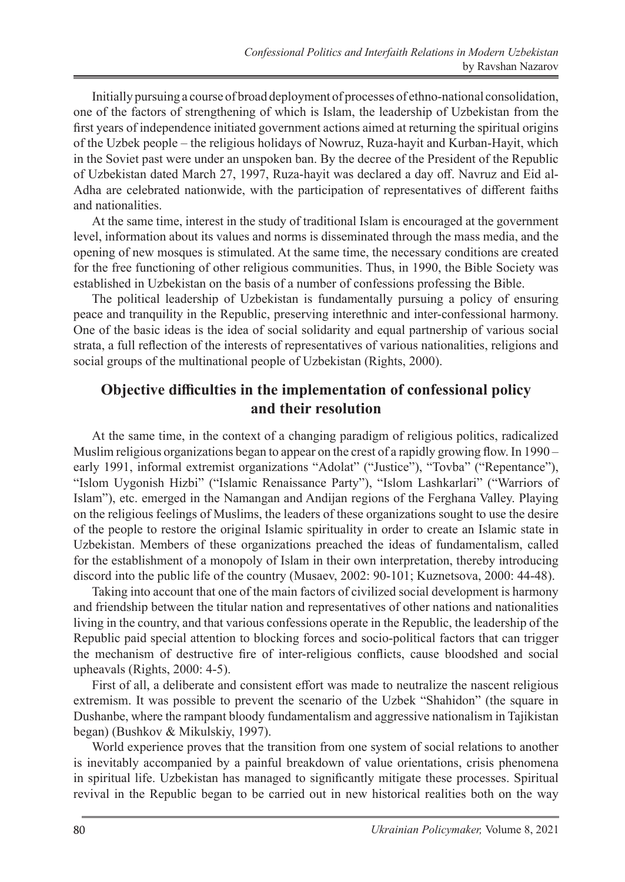Initially pursuing a course of broad deployment of processes of ethno-national consolidation, one of the factors of strengthening of which is Islam, the leadership of Uzbekistan from the first years of independence initiated government actions aimed at returning the spiritual origins of the Uzbek people – the religious holidays of Nowruz, Ruza-hayit and Kurban-Hayit, which in the Soviet past were under an unspoken ban. By the decree of the President of the Republic of Uzbekistan dated March 27, 1997, Ruza-hayit was declared a day off. Navruz and Eid al-Adha are celebrated nationwide, with the participation of representatives of different faiths and nationalities.

At the same time, interest in the study of traditional Islam is encouraged at the government level, information about its values and norms is disseminated through the mass media, and the opening of new mosques is stimulated. At the same time, the necessary conditions are created for the free functioning of other religious communities. Thus, in 1990, the Bible Society was established in Uzbekistan on the basis of a number of confessions professing the Bible.

The political leadership of Uzbekistan is fundamentally pursuing a policy of ensuring peace and tranquility in the Republic, preserving interethnic and inter-confessional harmony. One of the basic ideas is the idea of social solidarity and equal partnership of various social strata, a full reflection of the interests of representatives of various nationalities, religions and social groups of the multinational people of Uzbekistan (Rights, 2000).

# **Objective difficulties in the implementation of confessional policy and their resolution**

At the same time, in the context of a changing paradigm of religious politics, radicalized Muslim religious organizations began to appear on the crest of a rapidly growing flow. In 1990 – early 1991, informal extremist organizations "Adolat" ("Justice"), "Tovba" ("Repentance"), "Islom Uygonish Hizbi" ("Islamic Renaissance Party"), "Islom Lashkarlari" ("Warriors of Islam"), etc. emerged in the Namangan and Andijan regions of the Ferghana Valley. Playing on the religious feelings of Muslims, the leaders of these organizations sought to use the desire of the people to restore the original Islamic spirituality in order to create an Islamic state in Uzbekistan. Members of these organizations preached the ideas of fundamentalism, called for the establishment of a monopoly of Islam in their own interpretation, thereby introducing discord into the public life of the country (Musaev, 2002: 90-101; Kuznetsova, 2000: 44-48).

Taking into account that one of the main factors of civilized social development is harmony and friendship between the titular nation and representatives of other nations and nationalities living in the country, and that various confessions operate in the Republic, the leadership of the Republic paid special attention to blocking forces and socio-political factors that can trigger the mechanism of destructive fire of inter-religious conflicts, cause bloodshed and social upheavals (Rights, 2000: 4-5).

First of all, a deliberate and consistent effort was made to neutralize the nascent religious extremism. It was possible to prevent the scenario of the Uzbek "Shahidon" (the square in Dushanbe, where the rampant bloody fundamentalism and aggressive nationalism in Tajikistan began) (Bushkov & Mikulskiy, 1997).

World experience proves that the transition from one system of social relations to another is inevitably accompanied by a painful breakdown of value orientations, crisis phenomena in spiritual life. Uzbekistan has managed to significantly mitigate these processes. Spiritual revival in the Republic began to be carried out in new historical realities both on the way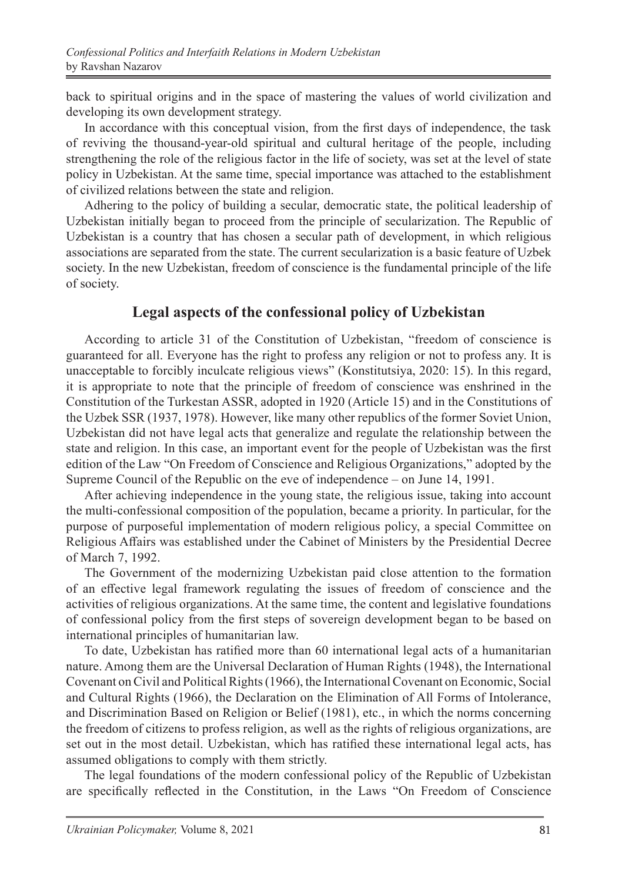back to spiritual origins and in the space of mastering the values of world civilization and developing its own development strategy.

In accordance with this conceptual vision, from the first days of independence, the task of reviving the thousand-year-old spiritual and cultural heritage of the people, including strengthening the role of the religious factor in the life of society, was set at the level of state policy in Uzbekistan. At the same time, special importance was attached to the establishment of civilized relations between the state and religion.

Adhering to the policy of building a secular, democratic state, the political leadership of Uzbekistan initially began to proceed from the principle of secularization. The Republic of Uzbekistan is a country that has chosen a secular path of development, in which religious associations are separated from the state. The current secularization is a basic feature of Uzbek society. In the new Uzbekistan, freedom of conscience is the fundamental principle of the life of society.

### **Legal aspects of the confessional policy of Uzbekistan**

According to article 31 of the Constitution of Uzbekistan, "freedom of conscience is guaranteed for all. Everyone has the right to profess any religion or not to profess any. It is unacceptable to forcibly inculcate religious views" (Konstitutsiya, 2020: 15). In this regard, it is appropriate to note that the principle of freedom of conscience was enshrined in the Constitution of the Turkestan ASSR, adopted in 1920 (Article 15) and in the Constitutions of the Uzbek SSR (1937, 1978). However, like many other republics of the former Soviet Union, Uzbekistan did not have legal acts that generalize and regulate the relationship between the state and religion. In this case, an important event for the people of Uzbekistan was the first edition of the Law "On Freedom of Conscience and Religious Organizations," adopted by the Supreme Council of the Republic on the eve of independence – on June 14, 1991.

After achieving independence in the young state, the religious issue, taking into account the multi-confessional composition of the population, became a priority. In particular, for the purpose of purposeful implementation of modern religious policy, a special Committee on Religious Affairs was established under the Cabinet of Ministers by the Presidential Decree of March 7, 1992.

The Government of the modernizing Uzbekistan paid close attention to the formation of an effective legal framework regulating the issues of freedom of conscience and the activities of religious organizations. At the same time, the content and legislative foundations of confessional policy from the first steps of sovereign development began to be based on international principles of humanitarian law.

To date, Uzbekistan has ratified more than 60 international legal acts of a humanitarian nature. Among them are the Universal Declaration of Human Rights (1948), the International Covenant on Civil and Political Rights (1966), the International Covenant on Economic, Social and Cultural Rights (1966), the Declaration on the Elimination of All Forms of Intolerance, and Discrimination Based on Religion or Belief (1981), etc., in which the norms concerning the freedom of citizens to profess religion, as well as the rights of religious organizations, are set out in the most detail. Uzbekistan, which has ratified these international legal acts, has assumed obligations to comply with them strictly.

The legal foundations of the modern confessional policy of the Republic of Uzbekistan are specifically reflected in the Constitution, in the Laws "On Freedom of Conscience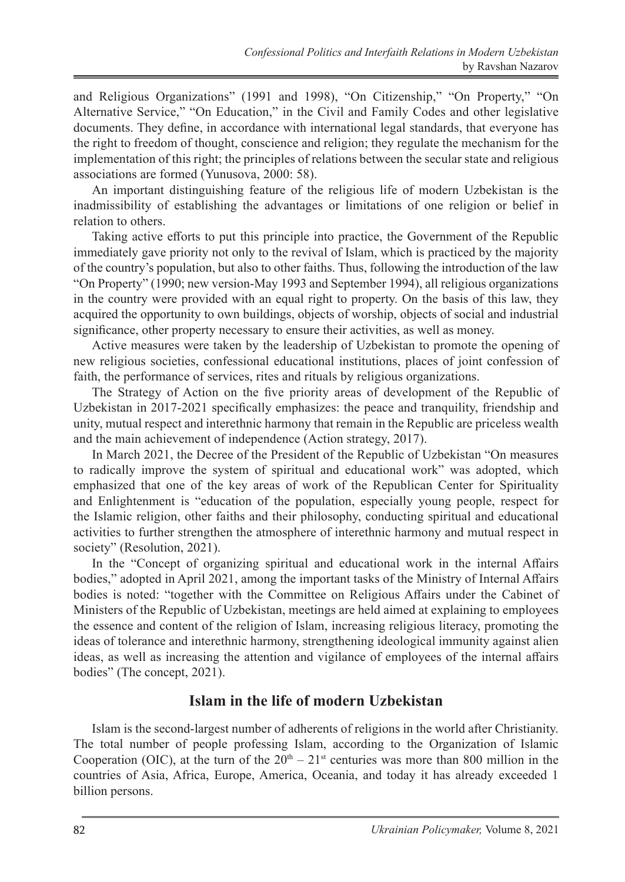and Religious Organizations" (1991 and 1998), "On Citizenship," "On Property," "On Alternative Service," "On Education," in the Civil and Family Codes and other legislative documents. They define, in accordance with international legal standards, that everyone has the right to freedom of thought, conscience and religion; they regulate the mechanism for the implementation of this right; the principles of relations between the secular state and religious associations are formed (Yunusova, 2000: 58).

An important distinguishing feature of the religious life of modern Uzbekistan is the inadmissibility of establishing the advantages or limitations of one religion or belief in relation to others.

Taking active efforts to put this principle into practice, the Government of the Republic immediately gave priority not only to the revival of Islam, which is practiced by the majority of the country's population, but also to other faiths. Thus, following the introduction of the law "On Property" (1990; new version-May 1993 and September 1994), all religious organizations in the country were provided with an equal right to property. On the basis of this law, they acquired the opportunity to own buildings, objects of worship, objects of social and industrial significance, other property necessary to ensure their activities, as well as money.

Active measures were taken by the leadership of Uzbekistan to promote the opening of new religious societies, confessional educational institutions, places of joint confession of faith, the performance of services, rites and rituals by religious organizations.

The Strategy of Action on the five priority areas of development of the Republic of Uzbekistan in 2017-2021 specifically emphasizes: the peace and tranquility, friendship and unity, mutual respect and interethnic harmony that remain in the Republic are priceless wealth and the main achievement of independence (Action strategy, 2017).

In March 2021, the Decree of the President of the Republic of Uzbekistan "On measures to radically improve the system of spiritual and educational work" was adopted, which emphasized that one of the key areas of work of the Republican Center for Spirituality and Enlightenment is "education of the population, especially young people, respect for the Islamic religion, other faiths and their philosophy, conducting spiritual and educational activities to further strengthen the atmosphere of interethnic harmony and mutual respect in society" (Resolution, 2021).

In the "Concept of organizing spiritual and educational work in the internal Affairs bodies," adopted in April 2021, among the important tasks of the Ministry of Internal Affairs bodies is noted: "together with the Committee on Religious Affairs under the Cabinet of Ministers of the Republic of Uzbekistan, meetings are held aimed at explaining to employees the essence and content of the religion of Islam, increasing religious literacy, promoting the ideas of tolerance and interethnic harmony, strengthening ideological immunity against alien ideas, as well as increasing the attention and vigilance of employees of the internal affairs bodies" (The concept, 2021).

#### **Islam in the life of modern Uzbekistan**

Islam is the second-largest number of adherents of religions in the world after Christianity. The total number of people professing Islam, according to the Organization of Islamic Cooperation (OIC), at the turn of the  $20<sup>th</sup> - 21<sup>st</sup>$  centuries was more than 800 million in the countries of Asia, Africa, Europe, America, Oceania, and today it has already exceeded 1 billion persons.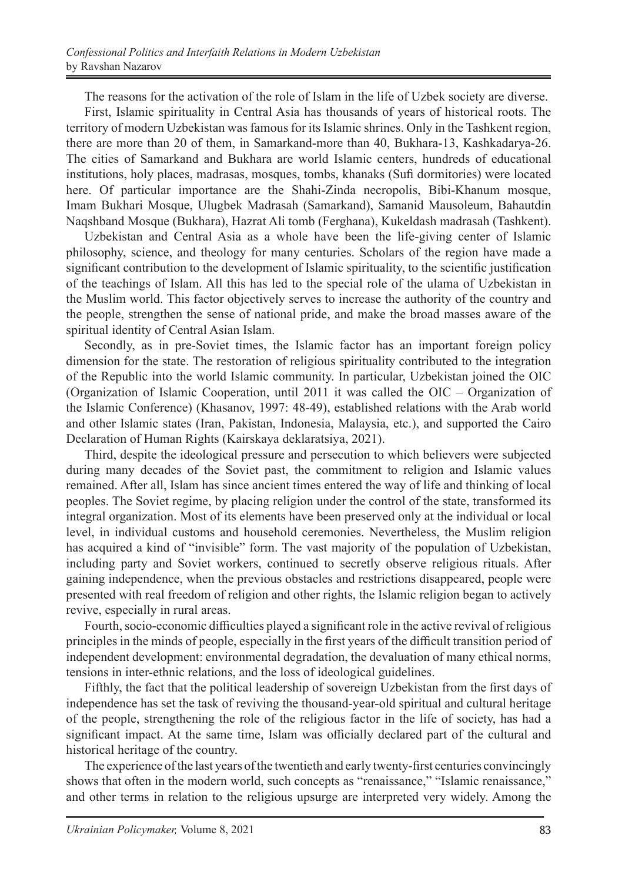The reasons for the activation of the role of Islam in the life of Uzbek society are diverse.

First, Islamic spirituality in Central Asia has thousands of years of historical roots. The territory of modern Uzbekistan was famous for its Islamic shrines. Only in the Tashkent region, there are more than 20 of them, in Samarkand-more than 40, Bukhara-13, Kashkadarya-26. The cities of Samarkand and Bukhara are world Islamic centers, hundreds of educational institutions, holy places, madrasas, mosques, tombs, khanaks (Sufi dormitories) were located here. Of particular importance are the Shahi-Zinda necropolis, Bibi-Khanum mosque, Imam Bukhari Mosque, Ulugbek Madrasah (Samarkand), Samanid Mausoleum, Bahautdin Naqshband Mosque (Bukhara), Hazrat Ali tomb (Ferghana), Kukeldash madrasah (Tashkent).

Uzbekistan and Central Asia as a whole have been the life-giving center of Islamic philosophy, science, and theology for many centuries. Scholars of the region have made a significant contribution to the development of Islamic spirituality, to the scientific justification of the teachings of Islam. All this has led to the special role of the ulama of Uzbekistan in the Muslim world. This factor objectively serves to increase the authority of the country and the people, strengthen the sense of national pride, and make the broad masses aware of the spiritual identity of Central Asian Islam.

Secondly, as in pre-Soviet times, the Islamic factor has an important foreign policy dimension for the state. The restoration of religious spirituality contributed to the integration of the Republic into the world Islamic community. In particular, Uzbekistan joined the OIC (Organization of Islamic Cooperation, until 2011 it was called the OIC – Organization of the Islamic Conference) (Khasanov, 1997: 48-49), established relations with the Arab world and other Islamic states (Iran, Pakistan, Indonesia, Malaysia, etc.), and supported the Cairo Declaration of Human Rights (Kairskaya deklaratsiya, 2021).

Third, despite the ideological pressure and persecution to which believers were subjected during many decades of the Soviet past, the commitment to religion and Islamic values remained. After all, Islam has since ancient times entered the way of life and thinking of local peoples. The Soviet regime, by placing religion under the control of the state, transformed its integral organization. Most of its elements have been preserved only at the individual or local level, in individual customs and household ceremonies. Nevertheless, the Muslim religion has acquired a kind of "invisible" form. The vast majority of the population of Uzbekistan, including party and Soviet workers, continued to secretly observe religious rituals. After gaining independence, when the previous obstacles and restrictions disappeared, people were presented with real freedom of religion and other rights, the Islamic religion began to actively revive, especially in rural areas.

Fourth, socio-economic difficulties played a significant role in the active revival of religious principles in the minds of people, especially in the first years of the difficult transition period of independent development: environmental degradation, the devaluation of many ethical norms, tensions in inter-ethnic relations, and the loss of ideological guidelines.

Fifthly, the fact that the political leadership of sovereign Uzbekistan from the first days of independence has set the task of reviving the thousand-year-old spiritual and cultural heritage of the people, strengthening the role of the religious factor in the life of society, has had a significant impact. At the same time, Islam was officially declared part of the cultural and historical heritage of the country.

The experience of the last years of the twentieth and early twenty-first centuries convincingly shows that often in the modern world, such concepts as "renaissance," "Islamic renaissance," and other terms in relation to the religious upsurge are interpreted very widely. Among the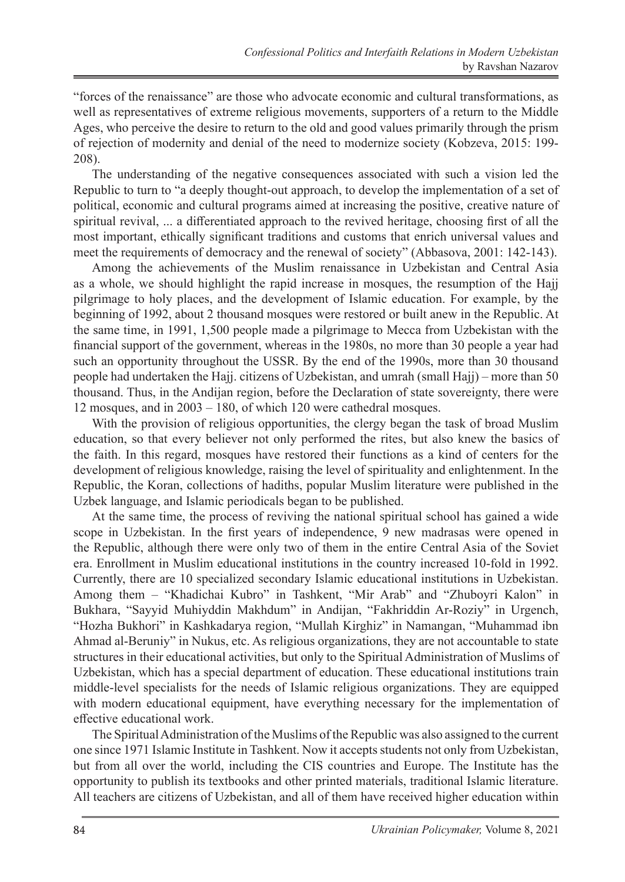"forces of the renaissance" are those who advocate economic and cultural transformations, as well as representatives of extreme religious movements, supporters of a return to the Middle Ages, who perceive the desire to return to the old and good values primarily through the prism of rejection of modernity and denial of the need to modernize society (Kobzeva, 2015: 199- 208).

The understanding of the negative consequences associated with such a vision led the Republic to turn to "a deeply thought-out approach, to develop the implementation of a set of political, economic and cultural programs aimed at increasing the positive, creative nature of spiritual revival, ... a differentiated approach to the revived heritage, choosing first of all the most important, ethically significant traditions and customs that enrich universal values and meet the requirements of democracy and the renewal of society" (Abbasova, 2001: 142-143).

Among the achievements of the Muslim renaissance in Uzbekistan and Central Asia as a whole, we should highlight the rapid increase in mosques, the resumption of the Hajj pilgrimage to holy places, and the development of Islamic education. For example, by the beginning of 1992, about 2 thousand mosques were restored or built anew in the Republic. At the same time, in 1991, 1,500 people made a pilgrimage to Mecca from Uzbekistan with the financial support of the government, whereas in the 1980s, no more than 30 people a year had such an opportunity throughout the USSR. By the end of the 1990s, more than 30 thousand people had undertaken the Hajj. citizens of Uzbekistan, and umrah (small Hajj) – more than 50 thousand. Thus, in the Andijan region, before the Declaration of state sovereignty, there were 12 mosques, and in 2003 – 180, of which 120 were cathedral mosques.

With the provision of religious opportunities, the clergy began the task of broad Muslim education, so that every believer not only performed the rites, but also knew the basics of the faith. In this regard, mosques have restored their functions as a kind of centers for the development of religious knowledge, raising the level of spirituality and enlightenment. In the Republic, the Koran, collections of hadiths, popular Muslim literature were published in the Uzbek language, and Islamic periodicals began to be published.

At the same time, the process of reviving the national spiritual school has gained a wide scope in Uzbekistan. In the first years of independence, 9 new madrasas were opened in the Republic, although there were only two of them in the entire Central Asia of the Soviet era. Enrollment in Muslim educational institutions in the country increased 10-fold in 1992. Currently, there are 10 specialized secondary Islamic educational institutions in Uzbekistan. Among them – "Khadichai Kubro" in Tashkent, "Mir Arab" and "Zhuboyri Kalon" in Bukhara, "Sayyid Muhiyddin Makhdum" in Andijan, "Fakhriddin Ar-Roziy" in Urgench, "Hozha Bukhori" in Kashkadarya region, "Mullah Kirghiz" in Namangan, "Muhammad ibn Ahmad al-Beruniy" in Nukus, etc. As religious organizations, they are not accountable to state structures in their educational activities, but only to the Spiritual Administration of Muslims of Uzbekistan, which has a special department of education. These educational institutions train middle-level specialists for the needs of Islamic religious organizations. They are equipped with modern educational equipment, have everything necessary for the implementation of effective educational work.

The Spiritual Administration of the Muslims of the Republic was also assigned to the current one since 1971 Islamic Institute in Tashkent. Now it accepts students not only from Uzbekistan, but from all over the world, including the CIS countries and Europe. The Institute has the opportunity to publish its textbooks and other printed materials, traditional Islamic literature. All teachers are citizens of Uzbekistan, and all of them have received higher education within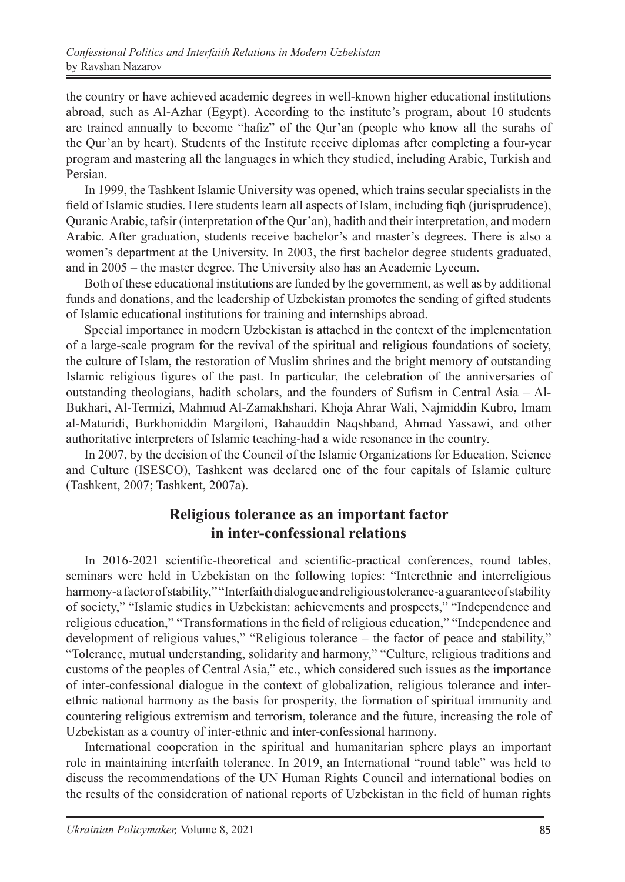the country or have achieved academic degrees in well-known higher educational institutions abroad, such as Al-Azhar (Egypt). According to the institute's program, about 10 students are trained annually to become "hafiz" of the Qur'an (people who know all the surahs of the Qur'an by heart). Students of the Institute receive diplomas after completing a four-year program and mastering all the languages in which they studied, including Arabic, Turkish and Persian.

In 1999, the Tashkent Islamic University was opened, which trains secular specialists in the field of Islamic studies. Here students learn all aspects of Islam, including fiqh (jurisprudence), Quranic Arabic, tafsir (interpretation of the Qur'an), hadith and their interpretation, and modern Arabic. After graduation, students receive bachelor's and master's degrees. There is also a women's department at the University. In 2003, the first bachelor degree students graduated, and in 2005 – the master degree. The University also has an Academic Lyceum.

Both of these educational institutions are funded by the government, as well as by additional funds and donations, and the leadership of Uzbekistan promotes the sending of gifted students of Islamic educational institutions for training and internships abroad.

Special importance in modern Uzbekistan is attached in the context of the implementation of a large-scale program for the revival of the spiritual and religious foundations of society, the culture of Islam, the restoration of Muslim shrines and the bright memory of outstanding Islamic religious figures of the past. In particular, the celebration of the anniversaries of outstanding theologians, hadith scholars, and the founders of Sufism in Central Asia – Al-Bukhari, Al-Termizi, Mahmud Al-Zamakhshari, Khoja Ahrar Wali, Najmiddin Kubro, Imam al-Maturidi, Burkhoniddin Margiloni, Bahauddin Naqshband, Ahmad Yassawi, and other authoritative interpreters of Islamic teaching-had a wide resonance in the country.

In 2007, by the decision of the Council of the Islamic Organizations for Education, Science and Culture (ISESCO), Tashkent was declared one of the four capitals of Islamic culture (Tashkent, 2007; Tashkent, 2007a).

## **Religious tolerance as an important factor in inter-confessional relations**

In 2016-2021 scientific-theoretical and scientific-practical conferences, round tables, seminars were held in Uzbekistan on the following topics: "Interethnic and interreligious harmony-a factor of stability," "Interfaith dialogue and religious tolerance-a guarantee of stability of society," "Islamic studies in Uzbekistan: achievements and prospects," "Independence and religious education," "Transformations in the field of religious education," "Independence and development of religious values," "Religious tolerance – the factor of peace and stability," "Tolerance, mutual understanding, solidarity and harmony," "Culture, religious traditions and customs of the peoples of Central Asia," etc., which considered such issues as the importance of inter-confessional dialogue in the context of globalization, religious tolerance and interethnic national harmony as the basis for prosperity, the formation of spiritual immunity and countering religious extremism and terrorism, tolerance and the future, increasing the role of Uzbekistan as a country of inter-ethnic and inter-confessional harmony.

International cooperation in the spiritual and humanitarian sphere plays an important role in maintaining interfaith tolerance. In 2019, an International "round table" was held to discuss the recommendations of the UN Human Rights Council and international bodies on the results of the consideration of national reports of Uzbekistan in the field of human rights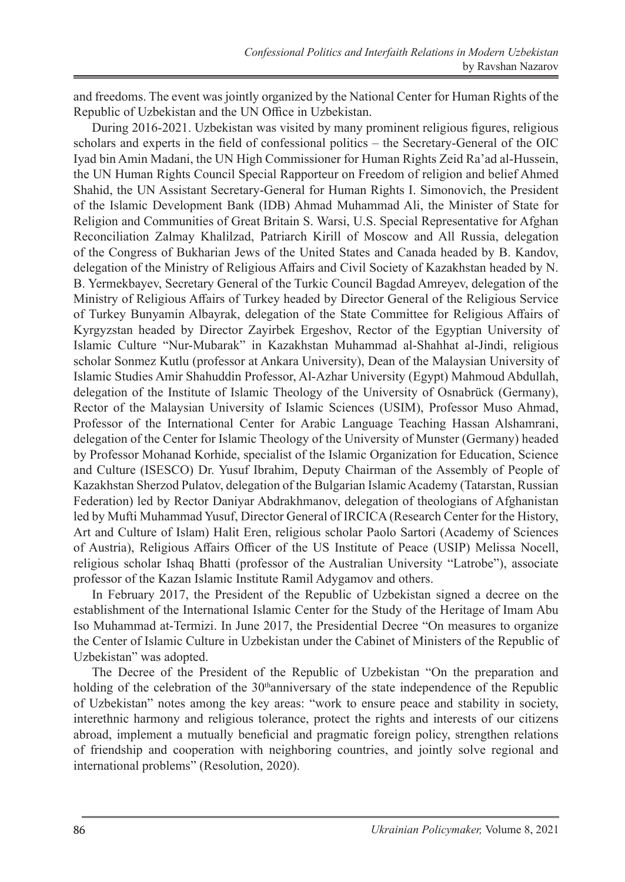and freedoms. The event was jointly organized by the National Center for Human Rights of the Republic of Uzbekistan and the UN Office in Uzbekistan.

During 2016-2021. Uzbekistan was visited by many prominent religious figures, religious scholars and experts in the field of confessional politics – the Secretary-General of the OIC Iyad bin Amin Madani, the UN High Commissioner for Human Rights Zeid Ra'ad al-Hussein, the UN Human Rights Council Special Rapporteur on Freedom of religion and belief Ahmed Shahid, the UN Assistant Secretary-General for Human Rights I. Simonovich, the President of the Islamic Development Bank (IDB) Ahmad Muhammad Ali, the Minister of State for Religion and Communities of Great Britain S. Warsi, U.S. Special Representative for Afghan Reconciliation Zalmay Khalilzad, Patriarch Kirill of Moscow and All Russia, delegation of the Congress of Bukharian Jews of the United States and Canada headed by B. Kandov, delegation of the Ministry of Religious Affairs and Civil Society of Kazakhstan headed by N. B. Yermekbayev, Secretary General of the Turkic Council Bagdad Amreyev, delegation of the Ministry of Religious Affairs of Turkey headed by Director General of the Religious Service of Turkey Bunyamin Albayrak, delegation of the State Committee for Religious Affairs of Kyrgyzstan headed by Director Zayirbek Ergeshov, Rector of the Egyptian University of Islamic Culture "Nur-Mubarak" in Kazakhstan Muhammad al-Shahhat al-Jindi, religious scholar Sonmez Kutlu (professor at Ankara University), Dean of the Malaysian University of Islamic Studies Amir Shahuddin Professor, Al-Azhar University (Egypt) Mahmoud Abdullah, delegation of the Institute of Islamic Theology of the University of Osnabrück (Germany), Rector of the Malaysian University of Islamic Sciences (USIM), Professor Muso Ahmad, Professor of the International Center for Arabic Language Teaching Hassan Alshamrani, delegation of the Center for Islamic Theology of the University of Munster (Germany) headed by Professor Mohanad Korhide, specialist of the Islamic Organization for Education, Science and Culture (ISESCO) Dr. Yusuf Ibrahim, Deputy Chairman of the Assembly of People of Kazakhstan Sherzod Pulatov, delegation of the Bulgarian Islamic Academy (Tatarstan, Russian Federation) led by Rector Daniyar Abdrakhmanov, delegation of theologians of Afghanistan led by Mufti Muhammad Yusuf, Director General of IRCICA (Research Center for the History, Art and Culture of Islam) Halit Eren, religious scholar Paolo Sartori (Academy of Sciences of Austria), Religious Affairs Officer of the US Institute of Peace (USIP) Melissa Nocell, religious scholar Ishaq Bhatti (professor of the Australian University "Latrobe"), associate professor of the Kazan Islamic Institute Ramil Adygamov and others.

In February 2017, the President of the Republic of Uzbekistan signed a decree on the establishment of the International Islamic Center for the Study of the Heritage of Imam Abu Iso Muhammad at-Termizi. In June 2017, the Presidential Decree "On measures to organize the Center of Islamic Culture in Uzbekistan under the Cabinet of Ministers of the Republic of Uzbekistan" was adopted.

The Decree of the President of the Republic of Uzbekistan "On the preparation and holding of the celebration of the  $30<sup>th</sup>$ anniversary of the state independence of the Republic of Uzbekistan" notes among the key areas: "work to ensure peace and stability in society, interethnic harmony and religious tolerance, protect the rights and interests of our citizens abroad, implement a mutually beneficial and pragmatic foreign policy, strengthen relations of friendship and cooperation with neighboring countries, and jointly solve regional and international problems" (Resolution, 2020).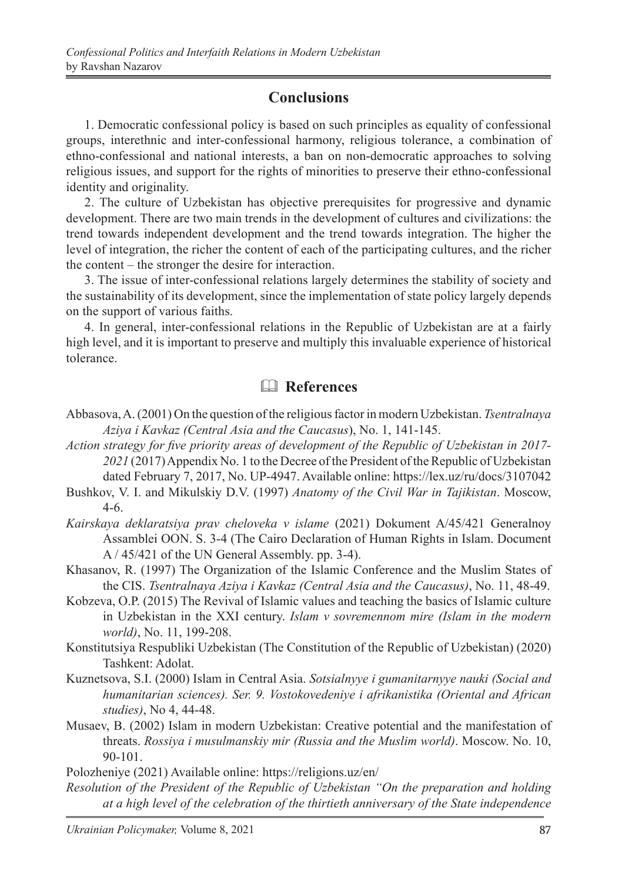## **Conclusions**

1. Democratic confessional policy is based on such principles as equality of confessional groups, interethnic and inter-confessional harmony, religious tolerance, a combination of ethno-confessional and national interests, a ban on non-democratic approaches to solving religious issues, and support for the rights of minorities to preserve their ethno-confessional identity and originality.

2. The culture of Uzbekistan has objective prerequisites for progressive and dynamic development. There are two main trends in the development of cultures and civilizations: the trend towards independent development and the trend towards integration. The higher the level of integration, the richer the content of each of the participating cultures, and the richer the content – the stronger the desire for interaction.

3. The issue of inter-confessional relations largely determines the stability of society and the sustainability of its development, since the implementation of state policy largely depends on the support of various faiths.

4. In general, inter-confessional relations in the Republic of Uzbekistan are at a fairly high level, and it is important to preserve and multiply this invaluable experience of historical tolerance.

# & **References**

- Abbasova, A. (2001) On the question of the religious factor in modern Uzbekistan. *Tsentralnaya Aziya i Kavkaz (Central Asia and the Caucasus*), No. 1, 141-145.
- *Action strategy for five priority areas of development of the Republic of Uzbekistan in 2017- 2021* (2017) Appendix No. 1 to the Decree of the President of the Republic of Uzbekistan dated February 7, 2017, No. UP-4947. Available online: https://lex.uz/ru/docs/3107042
- Bushkov, V. I. and Mikulskiy D.V. (1997) *Anatomy of the Civil War in Tajikistan*. Moscow, 4-6.
- *Kairskaya deklaratsiya prav cheloveka v islame* (2021) Dokument A/45/421 Generalnoy Assamblei OON. S. 3-4 (The Cairo Declaration of Human Rights in Islam. Document A / 45/421 of the UN General Assembly. pp. 3-4).
- Khasanov, R. (1997) The Organization of the Islamic Conference and the Muslim States of the CIS. *Tsentralnaya Aziya i Kavkaz (Central Asia and the Caucasus)*, No. 11, 48-49.
- Kobzeva, O.P. (2015) The Revival of Islamic values and teaching the basics of Islamic culture in Uzbekistan in the XXI century. *Islam v sovremennom mire (Islam in the modern world)*, No. 11, 199-208.
- Konstitutsiya Respubliki Uzbekistan (The Constitution of the Republic of Uzbekistan) (2020) Tashkent: Adolat.
- Kuznetsova, S.I. (2000) Islam in Central Asia. *Sotsialnyye i gumanitarnyye nauki (Social and humanitarian sciences). Ser. 9. Vostokovedeniye i afrikanistika (Oriental and African studies)*, No 4, 44-48.
- Musaev, B. (2002) Islam in modern Uzbekistan: Creative potential and the manifestation of threats. *Rossiya i musulmanskiy mir (Russia and the Muslim world)*. Moscow. No. 10, 90-101.

Polozheniye (2021) Available online: https://religions.uz/en/

*Resolution of the President of the Republic of Uzbekistan "On the preparation and holding at a high level of the celebration of the thirtieth anniversary of the State independence*